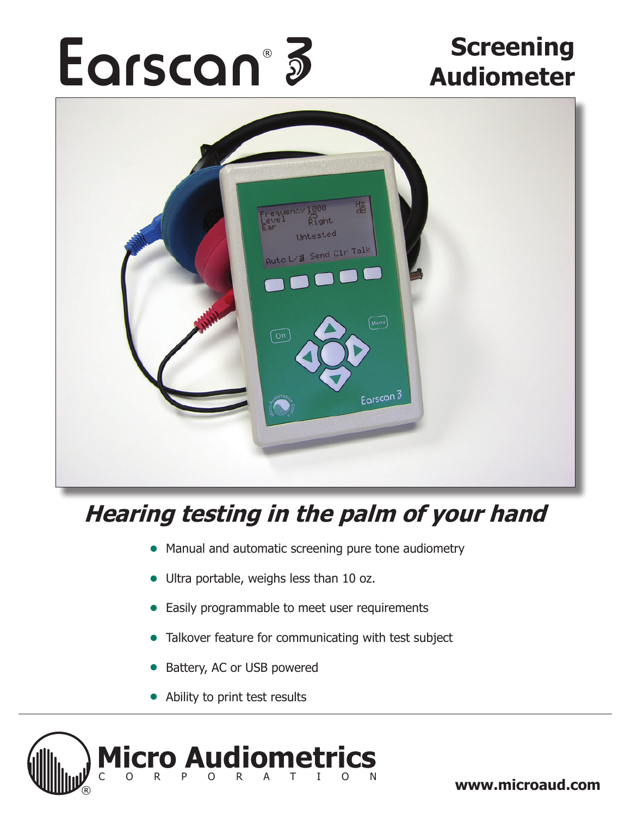# Earscan<sup>®</sup> 3<sup>S</sup> Screening ®



# **Hearing testing in the palm of your hand**

- Manual and automatic screening pure tone audiometry
- Ultra portable, weighs less than 10 oz.
- Easily programmable to meet user requirements ●
- Talkover feature for communicating with test subject
- Battery, AC or USB powered ●
- Ability to print test results



® **www.microaud.com**